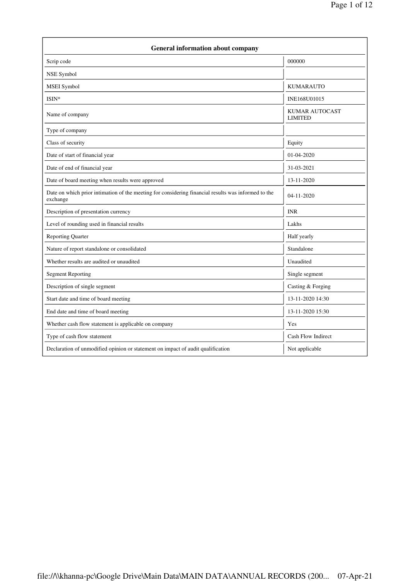| <b>General information about company</b>                                                                        |                                         |  |
|-----------------------------------------------------------------------------------------------------------------|-----------------------------------------|--|
| Scrip code                                                                                                      | 000000                                  |  |
| NSE Symbol                                                                                                      |                                         |  |
| MSEI Symbol                                                                                                     | <b>KUMARAUTO</b>                        |  |
| ISIN*                                                                                                           | INE168U01015                            |  |
| Name of company                                                                                                 | <b>KUMAR AUTOCAST</b><br><b>LIMITED</b> |  |
| Type of company                                                                                                 |                                         |  |
| Class of security                                                                                               | Equity                                  |  |
| Date of start of financial year                                                                                 | 01-04-2020                              |  |
| Date of end of financial year                                                                                   | 31-03-2021                              |  |
| Date of board meeting when results were approved                                                                | 13-11-2020                              |  |
| Date on which prior intimation of the meeting for considering financial results was informed to the<br>exchange | 04-11-2020                              |  |
| Description of presentation currency                                                                            | <b>INR</b>                              |  |
| Level of rounding used in financial results                                                                     | Lakhs                                   |  |
| <b>Reporting Quarter</b>                                                                                        | Half yearly                             |  |
| Nature of report standalone or consolidated                                                                     | Standalone                              |  |
| Whether results are audited or unaudited                                                                        | Unaudited                               |  |
| <b>Segment Reporting</b>                                                                                        | Single segment                          |  |
| Description of single segment                                                                                   | Casting & Forging                       |  |
| Start date and time of board meeting                                                                            | 13-11-2020 14:30                        |  |
| End date and time of board meeting                                                                              | 13-11-2020 15:30                        |  |
| Whether cash flow statement is applicable on company                                                            | Yes                                     |  |
| Type of cash flow statement                                                                                     | Cash Flow Indirect                      |  |
| Declaration of unmodified opinion or statement on impact of audit qualification                                 | Not applicable                          |  |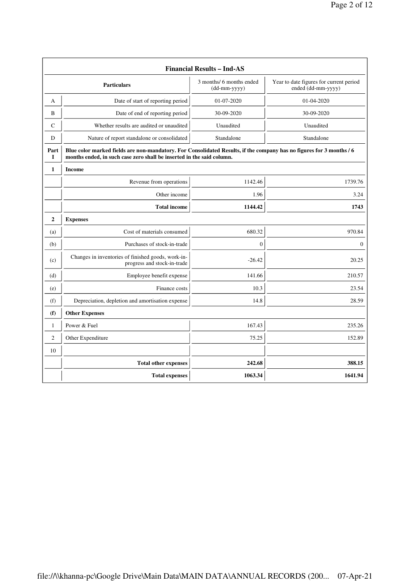| <b>Financial Results - Ind-AS</b> |                                                                                                                                                                                               |                                            |                                                               |  |
|-----------------------------------|-----------------------------------------------------------------------------------------------------------------------------------------------------------------------------------------------|--------------------------------------------|---------------------------------------------------------------|--|
|                                   | <b>Particulars</b>                                                                                                                                                                            | 3 months/ 6 months ended<br>$(dd-mm-yyyy)$ | Year to date figures for current period<br>ended (dd-mm-yyyy) |  |
| A                                 | Date of start of reporting period                                                                                                                                                             | 01-07-2020                                 | 01-04-2020                                                    |  |
| B                                 | Date of end of reporting period                                                                                                                                                               | 30-09-2020                                 | 30-09-2020                                                    |  |
| C                                 | Whether results are audited or unaudited                                                                                                                                                      | Unaudited                                  | Unaudited                                                     |  |
| D                                 | Nature of report standalone or consolidated                                                                                                                                                   | Standalone                                 | Standalone                                                    |  |
| Part<br>L                         | Blue color marked fields are non-mandatory. For Consolidated Results, if the company has no figures for 3 months / 6<br>months ended, in such case zero shall be inserted in the said column. |                                            |                                                               |  |
| $\mathbf{1}$                      | <b>Income</b>                                                                                                                                                                                 |                                            |                                                               |  |
|                                   | Revenue from operations                                                                                                                                                                       | 1142.46                                    | 1739.76                                                       |  |
|                                   | Other income                                                                                                                                                                                  | 1.96                                       | 3.24                                                          |  |
|                                   | <b>Total income</b>                                                                                                                                                                           | 1144.42                                    | 1743                                                          |  |
| $\mathbf{2}$                      | <b>Expenses</b>                                                                                                                                                                               |                                            |                                                               |  |
| (a)                               | Cost of materials consumed                                                                                                                                                                    | 680.32                                     | 970.84                                                        |  |
| (b)                               | Purchases of stock-in-trade                                                                                                                                                                   | $\boldsymbol{0}$                           | $\boldsymbol{0}$                                              |  |
| (c)                               | Changes in inventories of finished goods, work-in-<br>progress and stock-in-trade                                                                                                             | $-26.42$                                   | 20.25                                                         |  |
| (d)                               | Employee benefit expense                                                                                                                                                                      | 141.66                                     | 210.57                                                        |  |
| (e)                               | Finance costs                                                                                                                                                                                 | 10.3                                       | 23.54                                                         |  |
| (f)                               | Depreciation, depletion and amortisation expense                                                                                                                                              | 14.8                                       | 28.59                                                         |  |
| (f)                               | <b>Other Expenses</b>                                                                                                                                                                         |                                            |                                                               |  |
| $\mathbf{1}$                      | Power & Fuel                                                                                                                                                                                  | 167.43                                     | 235.26                                                        |  |
| $\overline{c}$                    | Other Expenditure                                                                                                                                                                             | 75.25                                      | 152.89                                                        |  |
| 10                                |                                                                                                                                                                                               |                                            |                                                               |  |
|                                   | <b>Total other expenses</b>                                                                                                                                                                   | 242.68                                     | 388.15                                                        |  |
|                                   | <b>Total expenses</b>                                                                                                                                                                         | 1063.34                                    | 1641.94                                                       |  |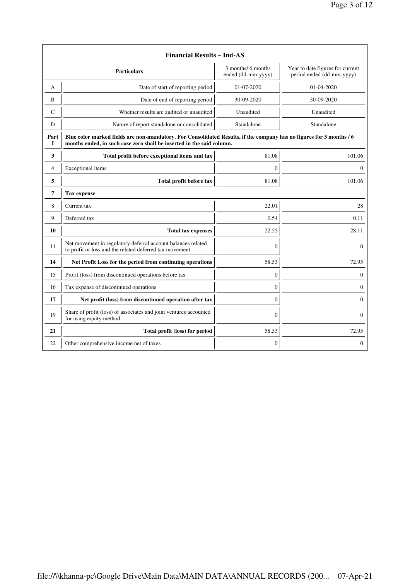| <b>Financial Results - Ind-AS</b> |                                                                                                                                                                                               |                                          |                                                               |
|-----------------------------------|-----------------------------------------------------------------------------------------------------------------------------------------------------------------------------------------------|------------------------------------------|---------------------------------------------------------------|
|                                   | <b>Particulars</b>                                                                                                                                                                            | 3 months/ 6 months<br>ended (dd-mm-yyyy) | Year to date figures for current<br>period ended (dd-mm-yyyy) |
| A                                 | Date of start of reporting period                                                                                                                                                             | $01 - 07 - 2020$                         | 01-04-2020                                                    |
| B                                 | Date of end of reporting period                                                                                                                                                               | 30-09-2020                               | 30-09-2020                                                    |
| C                                 | Whether results are audited or unaudited                                                                                                                                                      | Unaudited                                | Unaudited                                                     |
| D                                 | Nature of report standalone or consolidated                                                                                                                                                   | Standalone                               | Standalone                                                    |
| Part<br>I                         | Blue color marked fields are non-mandatory. For Consolidated Results, if the company has no figures for 3 months / 6<br>months ended, in such case zero shall be inserted in the said column. |                                          |                                                               |
| 3                                 | Total profit before exceptional items and tax                                                                                                                                                 | 81.08                                    | 101.06                                                        |
| 4                                 | Exceptional items                                                                                                                                                                             | $\overline{0}$                           | $\mathbf{0}$                                                  |
| 5                                 | Total profit before tax                                                                                                                                                                       | 81.08                                    | 101.06                                                        |
| 7                                 | <b>Tax expense</b>                                                                                                                                                                            |                                          |                                                               |
| 8                                 | Current tax                                                                                                                                                                                   | 22.01                                    | 28                                                            |
| 9                                 | Deferred tax                                                                                                                                                                                  | 0.54                                     | 0.11                                                          |
| 10                                | <b>Total tax expenses</b>                                                                                                                                                                     | 22.55                                    | 28.11                                                         |
| 11                                | Net movement in regulatory deferral account balances related<br>to profit or loss and the related deferred tax movement                                                                       | $\overline{0}$                           | $\overline{0}$                                                |
| 14                                | Net Profit Loss for the period from continuing operations                                                                                                                                     | 58.53                                    | 72.95                                                         |
| 15                                | Profit (loss) from discontinued operations before tax                                                                                                                                         | 0                                        | $\mathbf{0}$                                                  |
| 16                                | Tax expense of discontinued operations                                                                                                                                                        | $\overline{0}$                           | $\mathbf{0}$                                                  |
| 17                                | Net profit (loss) from discontinued operation after tax                                                                                                                                       | $\overline{0}$                           | $\overline{0}$                                                |
| 19                                | Share of profit (loss) of associates and joint ventures accounted<br>for using equity method                                                                                                  | $\overline{0}$                           | $\mathbf{0}$                                                  |
| 21                                | Total profit (loss) for period                                                                                                                                                                | 58.53                                    | 72.95                                                         |
| 22                                | Other comprehensive income net of taxes                                                                                                                                                       | $\boldsymbol{0}$                         | 0                                                             |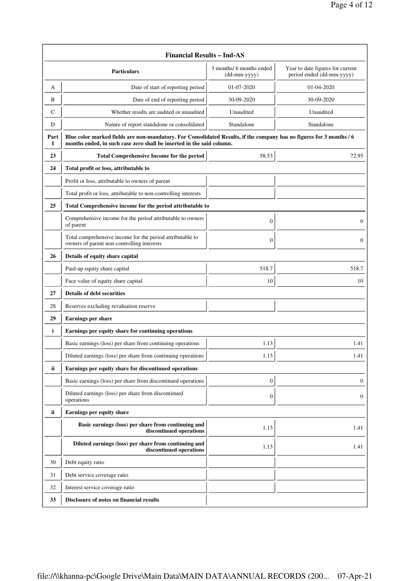|           | <b>Financial Results - Ind-AS</b>                                                                                                                                                             |                                          |                                                               |  |  |
|-----------|-----------------------------------------------------------------------------------------------------------------------------------------------------------------------------------------------|------------------------------------------|---------------------------------------------------------------|--|--|
|           | Particulars                                                                                                                                                                                   | 3 months/ 6 months ended<br>(dd-mm-yyyy) | Year to date figures for current<br>period ended (dd-mm-yyyy) |  |  |
| A         | Date of start of reporting period                                                                                                                                                             | 01-07-2020                               | 01-04-2020                                                    |  |  |
| B         | Date of end of reporting period                                                                                                                                                               | 30-09-2020                               | 30-09-2020                                                    |  |  |
| C         | Whether results are audited or unaudited                                                                                                                                                      | Unaudited                                | Unaudited                                                     |  |  |
| D         | Nature of report standalone or consolidated                                                                                                                                                   | Standalone                               | Standalone                                                    |  |  |
| Part<br>I | Blue color marked fields are non-mandatory. For Consolidated Results, if the company has no figures for 3 months / 6<br>months ended, in such case zero shall be inserted in the said column. |                                          |                                                               |  |  |
| 23        | <b>Total Comprehensive Income for the period</b>                                                                                                                                              | 58.53                                    | 72.95                                                         |  |  |
| 24        | Total profit or loss, attributable to                                                                                                                                                         |                                          |                                                               |  |  |
|           | Profit or loss, attributable to owners of parent                                                                                                                                              |                                          |                                                               |  |  |
|           | Total profit or loss, attributable to non-controlling interests                                                                                                                               |                                          |                                                               |  |  |
| 25        | Total Comprehensive income for the period attributable to                                                                                                                                     |                                          |                                                               |  |  |
|           | Comprehensive income for the period attributable to owners<br>of parent                                                                                                                       | $\boldsymbol{0}$                         | 0                                                             |  |  |
|           | Total comprehensive income for the period attributable to<br>owners of parent non-controlling interests                                                                                       | $\boldsymbol{0}$                         | $\boldsymbol{0}$                                              |  |  |
| 26        | Details of equity share capital                                                                                                                                                               |                                          |                                                               |  |  |
|           | Paid-up equity share capital                                                                                                                                                                  | 518.7                                    | 518.7                                                         |  |  |
|           | Face value of equity share capital                                                                                                                                                            | 10                                       | 10                                                            |  |  |
| 27        | <b>Details of debt securities</b>                                                                                                                                                             |                                          |                                                               |  |  |
| 28        | Reserves excluding revaluation reserve                                                                                                                                                        |                                          |                                                               |  |  |
| 29        | Earnings per share                                                                                                                                                                            |                                          |                                                               |  |  |
| i         | Earnings per equity share for continuing operations                                                                                                                                           |                                          |                                                               |  |  |
|           | Basic earnings (loss) per share from continuing operations                                                                                                                                    | 1.13                                     | 1.41                                                          |  |  |
|           | Diluted earnings (loss) per share from continuing operations                                                                                                                                  | 1.13                                     | 1.41                                                          |  |  |
| ii        | Earnings per equity share for discontinued operations                                                                                                                                         |                                          |                                                               |  |  |
|           | Basic earnings (loss) per share from discontinued operations                                                                                                                                  | $\boldsymbol{0}$                         | $\mathbf{0}$                                                  |  |  |
|           | Diluted earnings (loss) per share from discontinued<br>operations                                                                                                                             | $\boldsymbol{0}$                         | 0                                                             |  |  |
| ii        | Earnings per equity share                                                                                                                                                                     |                                          |                                                               |  |  |
|           | Basic earnings (loss) per share from continuing and<br>discontinued operations                                                                                                                | 1.13                                     | 1.41                                                          |  |  |
|           | Diluted earnings (loss) per share from continuing and<br>discontinued operations                                                                                                              | 1.13                                     | 1.41                                                          |  |  |
| 30        | Debt equity ratio                                                                                                                                                                             |                                          |                                                               |  |  |
| 31        | Debt service coverage ratio                                                                                                                                                                   |                                          |                                                               |  |  |
| 32        | Interest service coverage ratio                                                                                                                                                               |                                          |                                                               |  |  |
| 33        | Disclosure of notes on financial results                                                                                                                                                      |                                          |                                                               |  |  |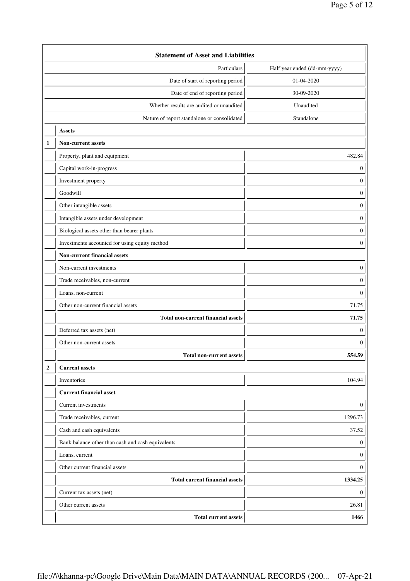|                | <b>Statement of Asset and Liabilities</b>         |                              |  |
|----------------|---------------------------------------------------|------------------------------|--|
|                | Particulars                                       | Half year ended (dd-mm-yyyy) |  |
|                | Date of start of reporting period                 | 01-04-2020                   |  |
|                | Date of end of reporting period                   | 30-09-2020                   |  |
|                | Whether results are audited or unaudited          | Unaudited                    |  |
|                | Nature of report standalone or consolidated       | Standalone                   |  |
|                | <b>Assets</b>                                     |                              |  |
| 1              | <b>Non-current assets</b>                         |                              |  |
|                | Property, plant and equipment                     | 482.84                       |  |
|                | Capital work-in-progress                          | $\boldsymbol{0}$             |  |
|                | Investment property                               | $\mathbf{0}$                 |  |
|                | Goodwill                                          | $\boldsymbol{0}$             |  |
|                | Other intangible assets                           | $\boldsymbol{0}$             |  |
|                | Intangible assets under development               | $\boldsymbol{0}$             |  |
|                | Biological assets other than bearer plants        | $\boldsymbol{0}$             |  |
|                | Investments accounted for using equity method     | $\boldsymbol{0}$             |  |
|                | <b>Non-current financial assets</b>               |                              |  |
|                | Non-current investments                           | $\boldsymbol{0}$             |  |
|                | Trade receivables, non-current                    | $\boldsymbol{0}$             |  |
|                | Loans, non-current                                | $\boldsymbol{0}$             |  |
|                | Other non-current financial assets                | 71.75                        |  |
|                | <b>Total non-current financial assets</b>         | 71.75                        |  |
|                | Deferred tax assets (net)                         | $\boldsymbol{0}$             |  |
|                | Other non-current assets                          | $\boldsymbol{0}$             |  |
|                | <b>Total non-current assets</b>                   | 554.59                       |  |
| $\overline{2}$ | <b>Current assets</b>                             |                              |  |
|                | Inventories                                       | 104.94                       |  |
|                | <b>Current financial asset</b>                    |                              |  |
|                | Current investments                               | $\mathbf{0}$                 |  |
|                | Trade receivables, current                        | 1296.73                      |  |
|                | Cash and cash equivalents                         | 37.52                        |  |
|                | Bank balance other than cash and cash equivalents | $\bf{0}$                     |  |
|                | Loans, current                                    | $\bf{0}$                     |  |
|                | Other current financial assets                    | $\bf{0}$                     |  |
|                | <b>Total current financial assets</b>             | 1334.25                      |  |
|                | Current tax assets (net)                          | $\bf{0}$                     |  |
|                | Other current assets                              | 26.81                        |  |
|                | <b>Total current assets</b>                       | 1466                         |  |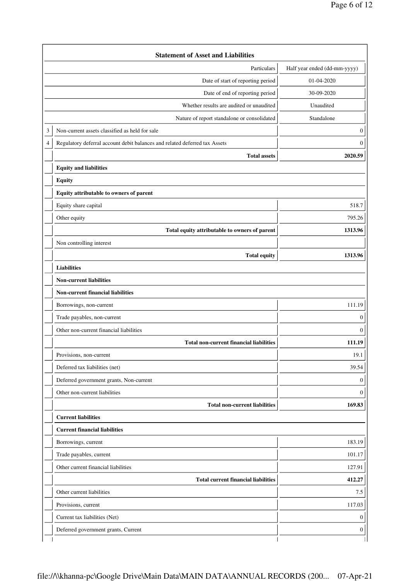|   | <b>Statement of Asset and Liabilities</b>                                  |                              |
|---|----------------------------------------------------------------------------|------------------------------|
|   | Particulars                                                                | Half year ended (dd-mm-yyyy) |
|   | Date of start of reporting period                                          | 01-04-2020                   |
|   | Date of end of reporting period                                            | 30-09-2020                   |
|   | Whether results are audited or unaudited                                   | Unaudited                    |
|   | Nature of report standalone or consolidated                                | Standalone                   |
| 3 | Non-current assets classified as held for sale                             | 0                            |
| 4 | Regulatory deferral account debit balances and related deferred tax Assets | $\boldsymbol{0}$             |
|   | <b>Total assets</b>                                                        | 2020.59                      |
|   | <b>Equity and liabilities</b>                                              |                              |
|   | <b>Equity</b>                                                              |                              |
|   | Equity attributable to owners of parent                                    |                              |
|   | Equity share capital                                                       | 518.7                        |
|   | Other equity                                                               | 795.26                       |
|   | Total equity attributable to owners of parent                              | 1313.96                      |
|   | Non controlling interest                                                   |                              |
|   | <b>Total equity</b>                                                        | 1313.96                      |
|   | <b>Liabilities</b>                                                         |                              |
|   | <b>Non-current liabilities</b>                                             |                              |
|   | <b>Non-current financial liabilities</b>                                   |                              |
|   | Borrowings, non-current                                                    | 111.19                       |
|   | Trade payables, non-current                                                | 0                            |
|   | Other non-current financial liabilities                                    | $\boldsymbol{0}$             |
|   | <b>Total non-current financial liabilities</b>                             | 111.19                       |
|   | Provisions, non-current                                                    | 19.1                         |
|   | Deferred tax liabilities (net)                                             | 39.54                        |
|   | Deferred government grants, Non-current                                    | 0                            |
|   | Other non-current liabilities                                              | 0                            |
|   | <b>Total non-current liabilities</b>                                       | 169.83                       |
|   | <b>Current liabilities</b>                                                 |                              |
|   | <b>Current financial liabilities</b>                                       |                              |
|   | Borrowings, current                                                        | 183.19                       |
|   | Trade payables, current                                                    | 101.17                       |
|   | Other current financial liabilities                                        | 127.91                       |
|   | <b>Total current financial liabilities</b>                                 | 412.27                       |
|   | Other current liabilities                                                  | 7.5                          |
|   | Provisions, current                                                        | 117.03                       |
|   | Current tax liabilities (Net)                                              | $\boldsymbol{0}$             |
|   | Deferred government grants, Current                                        | $\boldsymbol{0}$             |
|   |                                                                            |                              |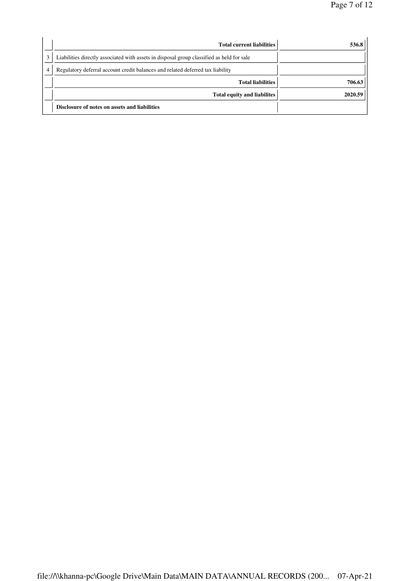| 536.8   | <b>Total current liabilities</b>                                                          |
|---------|-------------------------------------------------------------------------------------------|
|         | Liabilities directly associated with assets in disposal group classified as held for sale |
|         | Regulatory deferral account credit balances and related deferred tax liability            |
| 706.63  | <b>Total liabilities</b>                                                                  |
| 2020.59 | Total equity and liabilites                                                               |
|         | Disclosure of notes on assets and liabilities                                             |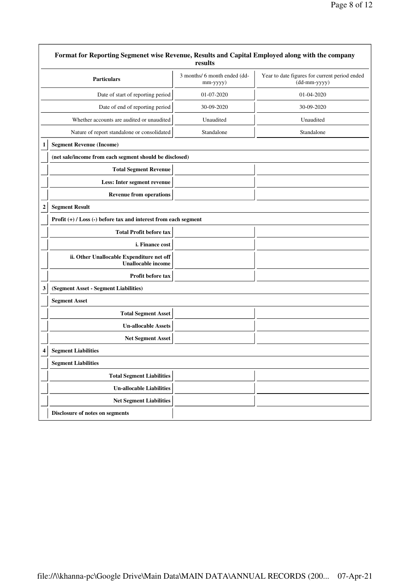| Format for Reporting Segmenet wise Revenue, Results and Capital Employed along with the company<br>results |                                                                     |                                                               |  |
|------------------------------------------------------------------------------------------------------------|---------------------------------------------------------------------|---------------------------------------------------------------|--|
| <b>Particulars</b>                                                                                         | 3 months/ 6 month ended (dd-<br>mm-yyyy)                            | Year to date figures for current period ended<br>(dd-mm-yyyy) |  |
| Date of start of reporting period                                                                          | 01-07-2020                                                          | 01-04-2020                                                    |  |
| Date of end of reporting period                                                                            | 30-09-2020                                                          | 30-09-2020                                                    |  |
| Whether accounts are audited or unaudited                                                                  | Unaudited                                                           | Unaudited                                                     |  |
| Nature of report standalone or consolidated                                                                | Standalone                                                          | Standalone                                                    |  |
| <b>Segment Revenue (Income)</b><br>1                                                                       |                                                                     |                                                               |  |
| (net sale/income from each segment should be disclosed)                                                    |                                                                     |                                                               |  |
| <b>Total Segment Revenue</b>                                                                               |                                                                     |                                                               |  |
| Less: Inter segment revenue                                                                                |                                                                     |                                                               |  |
| <b>Revenue from operations</b>                                                                             |                                                                     |                                                               |  |
| <b>Segment Result</b><br>$\overline{\mathbf{c}}$                                                           |                                                                     |                                                               |  |
|                                                                                                            | Profit $(+)$ / Loss $(-)$ before tax and interest from each segment |                                                               |  |
| <b>Total Profit before tax</b>                                                                             |                                                                     |                                                               |  |
| i. Finance cost                                                                                            |                                                                     |                                                               |  |
| ii. Other Unallocable Expenditure net off<br><b>Unallocable income</b>                                     |                                                                     |                                                               |  |
| Profit before tax                                                                                          |                                                                     |                                                               |  |
| (Segment Asset - Segment Liabilities)<br>3                                                                 |                                                                     |                                                               |  |
| <b>Segment Asset</b>                                                                                       |                                                                     |                                                               |  |
| <b>Total Segment Asset</b>                                                                                 |                                                                     |                                                               |  |
| <b>Un-allocable Assets</b>                                                                                 |                                                                     |                                                               |  |
| <b>Net Segment Asset</b>                                                                                   |                                                                     |                                                               |  |
| <b>Segment Liabilities</b><br>$\boldsymbol{\Lambda}$                                                       |                                                                     |                                                               |  |
| <b>Segment Liabilities</b>                                                                                 |                                                                     |                                                               |  |
| <b>Total Segment Liabilities</b>                                                                           |                                                                     |                                                               |  |
| <b>Un-allocable Liabilities</b>                                                                            |                                                                     |                                                               |  |
| <b>Net Segment Liabilities</b>                                                                             |                                                                     |                                                               |  |
| Disclosure of notes on segments                                                                            |                                                                     |                                                               |  |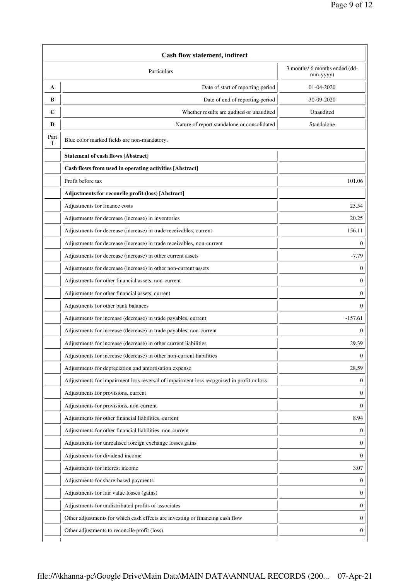|           | Cash flow statement, indirect                                                            |                                           |  |
|-----------|------------------------------------------------------------------------------------------|-------------------------------------------|--|
|           | Particulars                                                                              | 3 months/ 6 months ended (dd-<br>mm-yyyy) |  |
| A         | Date of start of reporting period                                                        | 01-04-2020                                |  |
| В         | Date of end of reporting period                                                          | 30-09-2020                                |  |
| C         | Whether results are audited or unaudited                                                 | Unaudited                                 |  |
| D         | Nature of report standalone or consolidated                                              | Standalone                                |  |
| Part<br>I | Blue color marked fields are non-mandatory.                                              |                                           |  |
|           | <b>Statement of cash flows [Abstract]</b>                                                |                                           |  |
|           | Cash flows from used in operating activities [Abstract]                                  |                                           |  |
|           | Profit before tax                                                                        | 101.06                                    |  |
|           | Adjustments for reconcile profit (loss) [Abstract]                                       |                                           |  |
|           | Adjustments for finance costs                                                            | 23.54                                     |  |
|           | Adjustments for decrease (increase) in inventories                                       | 20.25                                     |  |
|           | Adjustments for decrease (increase) in trade receivables, current                        | 156.11                                    |  |
|           | Adjustments for decrease (increase) in trade receivables, non-current                    | 0                                         |  |
|           | Adjustments for decrease (increase) in other current assets                              | $-7.79$                                   |  |
|           | Adjustments for decrease (increase) in other non-current assets                          | 0                                         |  |
|           | Adjustments for other financial assets, non-current                                      | 0                                         |  |
|           | Adjustments for other financial assets, current                                          | 0                                         |  |
|           | Adjustments for other bank balances                                                      | 0                                         |  |
|           | Adjustments for increase (decrease) in trade payables, current                           | $-157.61$                                 |  |
|           | Adjustments for increase (decrease) in trade payables, non-current                       | 0                                         |  |
|           | Adjustments for increase (decrease) in other current liabilities                         | 29.39                                     |  |
|           | Adjustments for increase (decrease) in other non-current liabilities                     | 0                                         |  |
|           | Adjustments for depreciation and amortisation expense                                    | 28.59                                     |  |
|           | Adjustments for impairment loss reversal of impairment loss recognised in profit or loss | 0                                         |  |
|           | Adjustments for provisions, current                                                      | 0                                         |  |
|           | Adjustments for provisions, non-current                                                  | 0                                         |  |
|           | Adjustments for other financial liabilities, current                                     | 8.94                                      |  |
|           | Adjustments for other financial liabilities, non-current                                 | 0                                         |  |
|           | Adjustments for unrealised foreign exchange losses gains                                 | 0                                         |  |
|           | Adjustments for dividend income                                                          | 0                                         |  |
|           | Adjustments for interest income                                                          | 3.07                                      |  |
|           | Adjustments for share-based payments                                                     | 0                                         |  |
|           | Adjustments for fair value losses (gains)                                                | 0                                         |  |
|           | Adjustments for undistributed profits of associates                                      | 0                                         |  |
|           | Other adjustments for which cash effects are investing or financing cash flow            | $\boldsymbol{0}$                          |  |
|           | Other adjustments to reconcile profit (loss)                                             | $\boldsymbol{0}$                          |  |
|           |                                                                                          |                                           |  |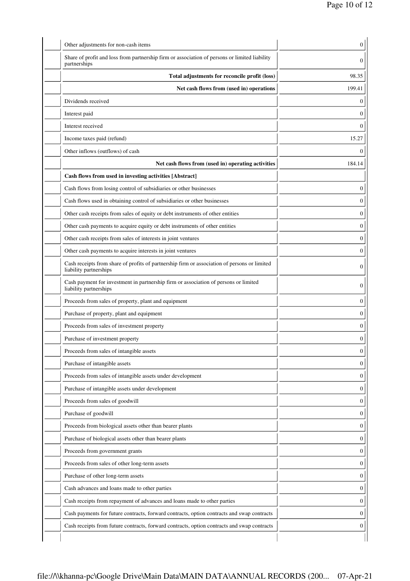| Share of profit and loss from partnership firm or association of persons or limited liability                          |        |
|------------------------------------------------------------------------------------------------------------------------|--------|
| partnerships<br>Total adjustments for reconcile profit (loss)                                                          | 98.35  |
| Net cash flows from (used in) operations                                                                               | 199.41 |
| Dividends received                                                                                                     |        |
| Interest paid                                                                                                          |        |
| Interest received                                                                                                      |        |
| Income taxes paid (refund)                                                                                             | 15.27  |
| Other inflows (outflows) of cash                                                                                       |        |
| Net cash flows from (used in) operating activities                                                                     | 184.14 |
| Cash flows from used in investing activities [Abstract]                                                                |        |
| Cash flows from losing control of subsidiaries or other businesses                                                     |        |
| Cash flows used in obtaining control of subsidiaries or other businesses                                               |        |
| Other cash receipts from sales of equity or debt instruments of other entities                                         |        |
| Other cash payments to acquire equity or debt instruments of other entities                                            |        |
| Other cash receipts from sales of interests in joint ventures                                                          |        |
| Other cash payments to acquire interests in joint ventures                                                             |        |
| Cash receipts from share of profits of partnership firm or association of persons or limited<br>liability partnerships |        |
| Cash payment for investment in partnership firm or association of persons or limited<br>liability partnerships         |        |
| Proceeds from sales of property, plant and equipment                                                                   |        |
| Purchase of property, plant and equipment                                                                              |        |
| Proceeds from sales of investment property                                                                             |        |
| Purchase of investment property                                                                                        |        |
| Proceeds from sales of intangible assets                                                                               |        |
| Purchase of intangible assets                                                                                          |        |
| Proceeds from sales of intangible assets under development                                                             |        |
| Purchase of intangible assets under development                                                                        |        |
| Proceeds from sales of goodwill                                                                                        |        |
| Purchase of goodwill                                                                                                   |        |
| Proceeds from biological assets other than bearer plants                                                               |        |
| Purchase of biological assets other than bearer plants                                                                 |        |
| Proceeds from government grants                                                                                        |        |
| Proceeds from sales of other long-term assets                                                                          |        |
| Purchase of other long-term assets                                                                                     |        |
| Cash advances and loans made to other parties                                                                          |        |
| Cash receipts from repayment of advances and loans made to other parties                                               |        |
| Cash payments for future contracts, forward contracts, option contracts and swap contracts                             |        |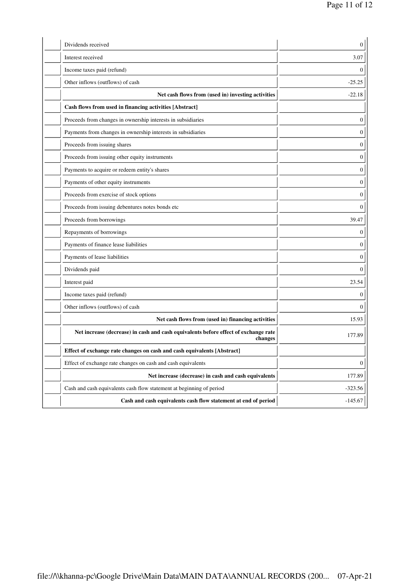| Dividends received                                                                             | 0                |
|------------------------------------------------------------------------------------------------|------------------|
| Interest received                                                                              | 3.07             |
| Income taxes paid (refund)                                                                     | 0                |
| Other inflows (outflows) of cash                                                               | $-25.25$         |
| Net cash flows from (used in) investing activities                                             | $-22.18$         |
| Cash flows from used in financing activities [Abstract]                                        |                  |
| Proceeds from changes in ownership interests in subsidiaries                                   | $\boldsymbol{0}$ |
| Payments from changes in ownership interests in subsidiaries                                   | 0                |
| Proceeds from issuing shares                                                                   | 0                |
| Proceeds from issuing other equity instruments                                                 | 0                |
| Payments to acquire or redeem entity's shares                                                  | 0                |
| Payments of other equity instruments                                                           | 0                |
| Proceeds from exercise of stock options                                                        | 0                |
| Proceeds from issuing debentures notes bonds etc                                               | 0                |
| Proceeds from borrowings                                                                       | 39.47            |
| Repayments of borrowings                                                                       | 0                |
| Payments of finance lease liabilities                                                          | 0                |
| Payments of lease liabilities                                                                  | 0                |
| Dividends paid                                                                                 | 0                |
| Interest paid                                                                                  | 23.54            |
| Income taxes paid (refund)                                                                     | 0                |
| Other inflows (outflows) of cash                                                               | 0                |
| Net cash flows from (used in) financing activities                                             | 15.93            |
| Net increase (decrease) in cash and cash equivalents before effect of exchange rate<br>changes | 177.89           |
| Effect of exchange rate changes on cash and cash equivalents [Abstract]                        |                  |
| Effect of exchange rate changes on cash and cash equivalents                                   | 0                |
| Net increase (decrease) in cash and cash equivalents                                           | 177.89           |
| Cash and cash equivalents cash flow statement at beginning of period                           | $-323.56$        |
| Cash and cash equivalents cash flow statement at end of period                                 | $-145.67$        |